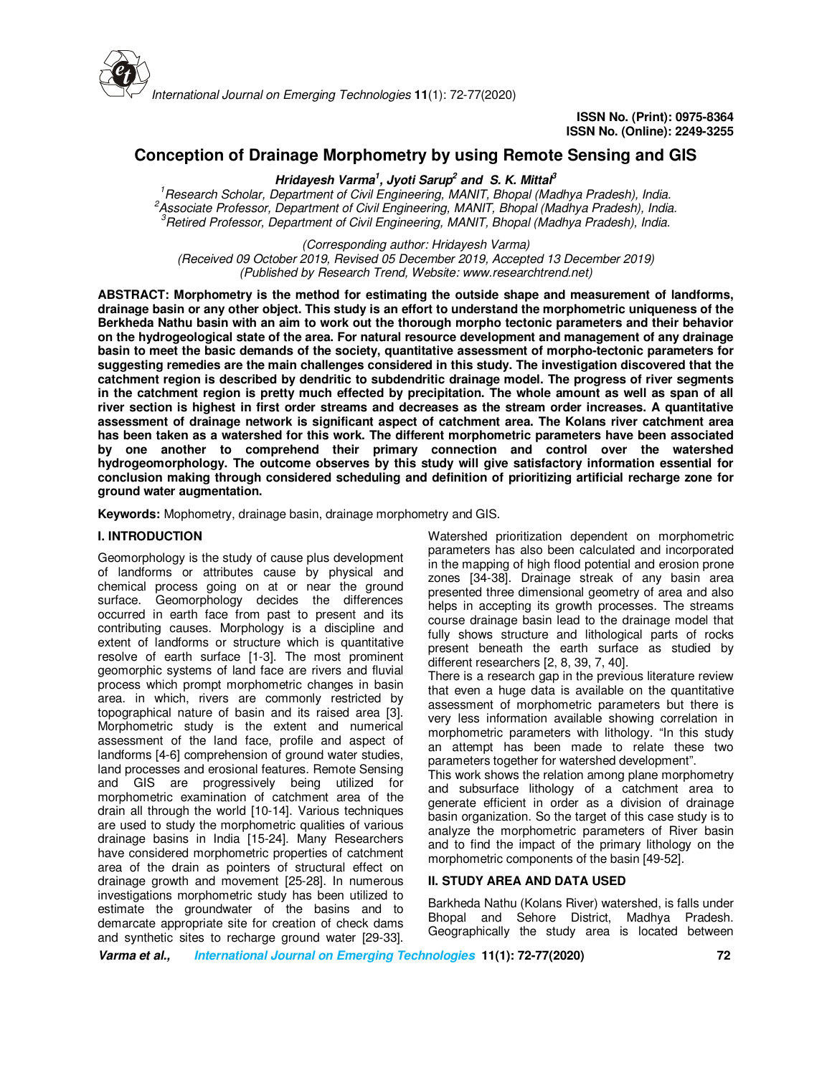

# **Conception of Drainage Morphometry by using Remote Sensing and GIS**

**Hridayesh Varma<sup>1</sup> , Jyoti Sarup<sup>2</sup> and S. K. Mittal<sup>3</sup>**

*<sup>1</sup>Research Scholar, Department of Civil Engineering, MANIT, Bhopal (Madhya Pradesh), India. <sup>2</sup>Associate Professor, Department of Civil Engineering, MANIT, Bhopal (Madhya Pradesh), India. <sup>3</sup>Retired Professor, Department of Civil Engineering, MANIT, Bhopal (Madhya Pradesh), India.* 

*(Corresponding author: Hridayesh Varma)*

*(Received 09 October 2019, Revised 05 December 2019, Accepted 13 December 2019) (Published by Research Trend, Website: www.researchtrend.net)*

**ABSTRACT: Morphometry is the method for estimating the outside shape and measurement of landforms, drainage basin or any other object. This study is an effort to understand the morphometric uniqueness of the Berkheda Nathu basin with an aim to work out the thorough morpho tectonic parameters and their behavior on the hydrogeological state of the area. For natural resource development and management of any drainage basin to meet the basic demands of the society, quantitative assessment of morpho-tectonic parameters for suggesting remedies are the main challenges considered in this study. The investigation discovered that the catchment region is described by dendritic to subdendritic drainage model. The progress of river segments in the catchment region is pretty much effected by precipitation. The whole amount as well as span of all river section is highest in first order streams and decreases as the stream order increases. A quantitative assessment of drainage network is significant aspect of catchment area. The Kolans river catchment area has been taken as a watershed for this work. The different morphometric parameters have been associated by one another to comprehend their primary connection and control over the watershed hydrogeomorphology. The outcome observes by this study will give satisfactory information essential for conclusion making through considered scheduling and definition of prioritizing artificial recharge zone for ground water augmentation.**

**Keywords:** Mophometry, drainage basin, drainage morphometry and GIS.

### **I. INTRODUCTION**

Geomorphology is the study of cause plus development of landforms or attributes cause by physical and chemical process going on at or near the ground surface. Geomorphology decides the differences occurred in earth face from past to present and its contributing causes. Morphology is a discipline and extent of landforms or structure which is quantitative resolve of earth surface [1-3]. The most prominent geomorphic systems of land face are rivers and fluvial process which prompt morphometric changes in basin area. in which, rivers are commonly restricted by topographical nature of basin and its raised area [3]. Morphometric study is the extent and numerical assessment of the land face, profile and aspect of landforms [4-6] comprehension of ground water studies, land processes and erosional features. Remote Sensing and GIS are progressively being utilized for morphometric examination of catchment area of the drain all through the world [10-14]. Various techniques are used to study the morphometric qualities of various drainage basins in India [15-24]. Many Researchers have considered morphometric properties of catchment area of the drain as pointers of structural effect on drainage growth and movement [25-28]. In numerous investigations morphometric study has been utilized to estimate the groundwater of the basins and to demarcate appropriate site for creation of check dams and synthetic sites to recharge ground water [29-33].

Watershed prioritization dependent on morphometric parameters has also been calculated and incorporated in the mapping of high flood potential and erosion prone zones [34-38]. Drainage streak of any basin area presented three dimensional geometry of area and also helps in accepting its growth processes. The streams course drainage basin lead to the drainage model that fully shows structure and lithological parts of rocks present beneath the earth surface as studied by different researchers [2, 8, 39, 7, 40].

There is a research gap in the previous literature review that even a huge data is available on the quantitative assessment of morphometric parameters but there is very less information available showing correlation in morphometric parameters with lithology. "In this study an attempt has been made to relate these two parameters together for watershed development".

This work shows the relation among plane morphometry and subsurface lithology of a catchment area to generate efficient in order as a division of drainage basin organization. So the target of this case study is to analyze the morphometric parameters of River basin and to find the impact of the primary lithology on the morphometric components of the basin [49-52].

### **II. STUDY AREA AND DATA USED**

Barkheda Nathu (Kolans River) watershed, is falls under Bhopal and Sehore District, Madhya Pradesh. Geographically the study area is located between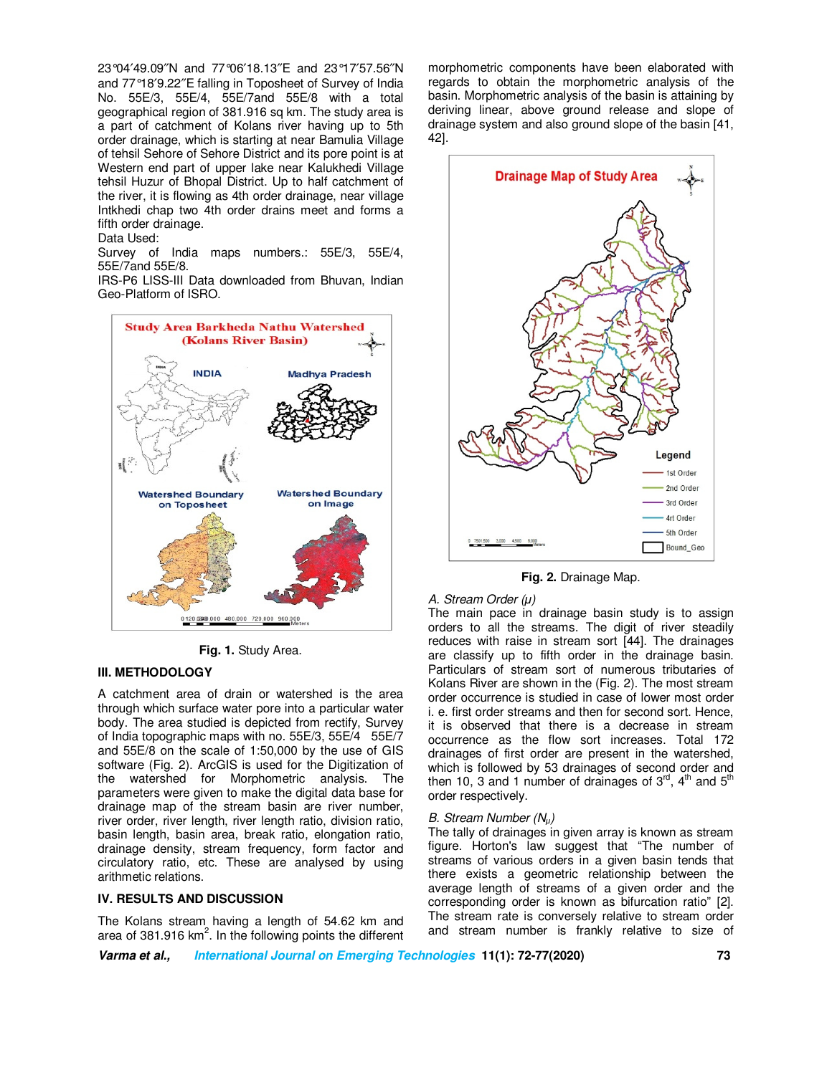23°04′49.09″N and 77°06′18.13″E and 23°17′57.56″N and 77°18′9.22″E falling in Toposheet of Survey of India No. 55E/3, 55E/4, 55E/7and 55E/8 with a total geographical region of 381.916 sq km. The study area is a part of catchment of Kolans river having up to 5th order drainage, which is starting at near Bamulia Village of tehsil Sehore of Sehore District and its pore point is at Western end part of upper lake near Kalukhedi Village tehsil Huzur of Bhopal District. Up to half catchment of the river, it is flowing as 4th order drainage, near village Intkhedi chap two 4th order drains meet and forms a fifth order drainage.

#### Data Used:

Survey of India maps numbers.: 55E/3, 55E/4, 55E/7and 55E/8.

IRS-P6 LISS-III Data downloaded from Bhuvan, Indian Geo-Platform of ISRO.



**Fig. 1.** Study Area.

## **III. METHODOLOGY**

A catchment area of drain or watershed is the area through which surface water pore into a particular water body. The area studied is depicted from rectify, Survey of India topographic maps with no. 55E/3, 55E/4 55E/7 and 55E/8 on the scale of 1:50,000 by the use of GIS software (Fig. 2). ArcGIS is used for the Digitization of the watershed for Morphometric analysis. The parameters were given to make the digital data base for drainage map of the stream basin are river number, river order, river length, river length ratio, division ratio, basin length, basin area, break ratio, elongation ratio, drainage density, stream frequency, form factor and circulatory ratio, etc. These are analysed by using arithmetic relations.

### **IV. RESULTS AND DISCUSSION**

The Kolans stream having a length of 54.62 km and area of 381.916 km<sup>2</sup>. In the following points the different morphometric components have been elaborated with regards to obtain the morphometric analysis of the basin. Morphometric analysis of the basin is attaining by deriving linear, above ground release and slope of drainage system and also ground slope of the basin [41, 42].



**Fig. 2.** Drainage Map.

#### *A. Stream Order (µ)*

The main pace in drainage basin study is to assign orders to all the streams. The digit of river steadily reduces with raise in stream sort [44]. The drainages are classify up to fifth order in the drainage basin. Particulars of stream sort of numerous tributaries of Kolans River are shown in the (Fig. 2). The most stream order occurrence is studied in case of lower most order i. e. first order streams and then for second sort. Hence, it is observed that there is a decrease in stream occurrence as the flow sort increases. Total 172 drainages of first order are present in the watershed, which is followed by 53 drainages of second order and then 10, 3 and 1 number of drainages of  $3^{rd}$ ,  $4^{th}$  and  $5^{th}$ order respectively.

#### *B. Stream Number (Nµ)*

The tally of drainages in given array is known as stream figure. Horton's law suggest that "The number of streams of various orders in a given basin tends that there exists a geometric relationship between the average length of streams of a given order and the corresponding order is known as bifurcation ratio" [2]. The stream rate is conversely relative to stream order and stream number is frankly relative to size of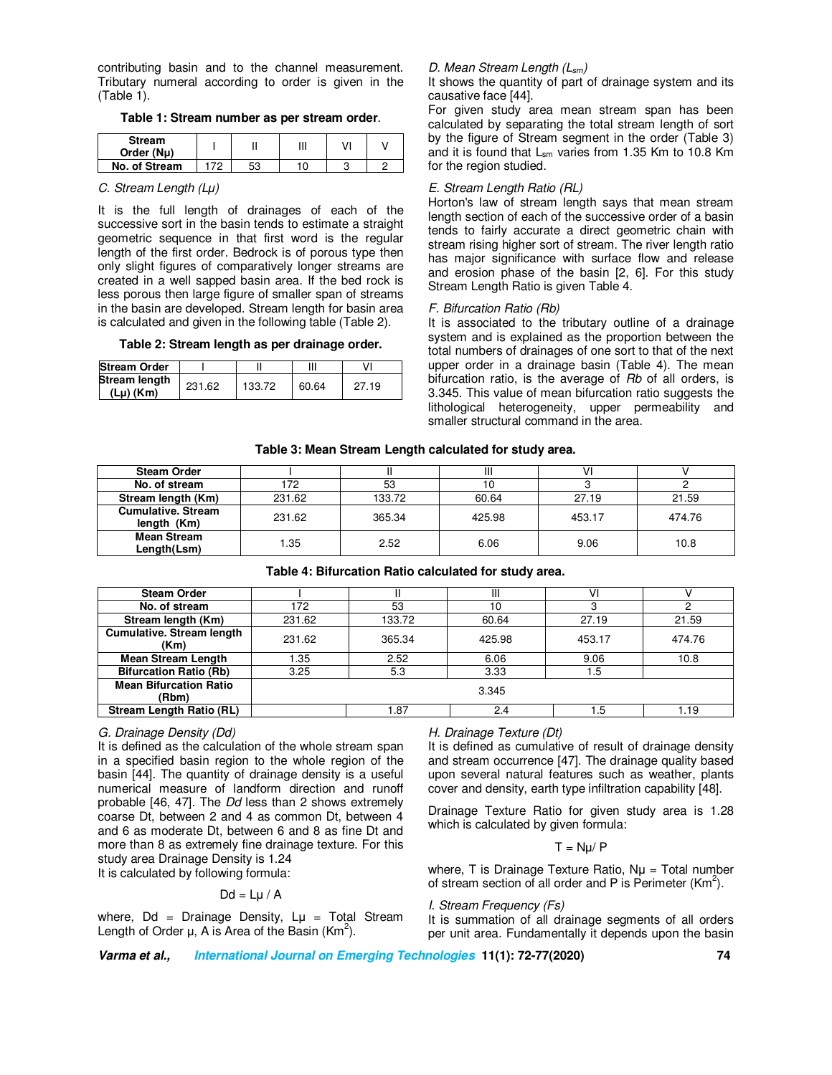contributing basin and to the channel measurement. Tributary numeral according to order is given in the (Table 1).

### **Table 1: Stream number as per stream order**.

| <b>Stream</b><br>Order (Nu) |     |    | Ш  |  |
|-----------------------------|-----|----|----|--|
| No. of Stream               | 70. | ΓO | 10 |  |

### *C. Stream Length (Lµ)*

It is the full length of drainages of each of the successive sort in the basin tends to estimate a straight geometric sequence in that first word is the regular length of the first order. Bedrock is of porous type then only slight figures of comparatively longer streams are created in a well sapped basin area. If the bed rock is less porous then large figure of smaller span of streams in the basin are developed. Stream length for basin area is calculated and given in the following table (Table 2).

#### **Table 2: Stream length as per drainage order.**

| <b>Stream Order</b>                     |        |        | Ш     |       |
|-----------------------------------------|--------|--------|-------|-------|
| <b>Stream length</b><br>$(Lu)$ ( $Km$ ) | 231.62 | 133.72 | 60.64 | 27.19 |

# *D. Mean Stream Length (Lsm)*

It shows the quantity of part of drainage system and its causative face [44].

For given study area mean stream span has been calculated by separating the total stream length of sort by the figure of Stream segment in the order (Table 3) and it is found that  $L_{\rm sm}$  varies from 1.35 Km to 10.8 Km for the region studied.

### *E. Stream Length Ratio (RL)*

Horton's law of stream length says that mean stream length section of each of the successive order of a basin tends to fairly accurate a direct geometric chain with stream rising higher sort of stream. The river length ratio has major significance with surface flow and release and erosion phase of the basin [2, 6]. For this study Stream Length Ratio is given Table 4.

### *F. Bifurcation Ratio (Rb)*

It is associated to the tributary outline of a drainage system and is explained as the proportion between the total numbers of drainages of one sort to that of the next upper order in a drainage basin (Table 4). The mean bifurcation ratio, is the average of *Rb* of all orders, is 3.345. This value of mean bifurcation ratio suggests the lithological heterogeneity, upper permeability and smaller structural command in the area.

### **Table 3: Mean Stream Length calculated for study area.**

| <b>Steam Order</b>                       |        |        | Ш      |        |        |
|------------------------------------------|--------|--------|--------|--------|--------|
| No. of stream                            | 172    | 53     | 10     |        |        |
| Stream length (Km)                       | 231.62 | 133.72 | 60.64  | 27.19  | 21.59  |
| <b>Cumulative, Stream</b><br>length (Km) | 231.62 | 365.34 | 425.98 | 453.17 | 474.76 |
| <b>Mean Stream</b><br>Length(Lsm)        | 1.35   | 2.52   | 6.06   | 9.06   | 10.8   |

## **Table 4: Bifurcation Ratio calculated for study area.**

| <b>Steam Order</b>                       |        |        | Ш      | ۷ı     |        |  |
|------------------------------------------|--------|--------|--------|--------|--------|--|
| No. of stream                            | 172    | 53     | 10     | 3      |        |  |
| Stream length (Km)                       | 231.62 | 133.72 | 60.64  | 27.19  | 21.59  |  |
| <b>Cumulative. Stream length</b><br>(Km) | 231.62 | 365.34 | 425.98 | 453.17 | 474.76 |  |
| <b>Mean Stream Length</b>                | 1.35   | 2.52   | 6.06   | 9.06   | 10.8   |  |
| <b>Bifurcation Ratio (Rb)</b>            | 3.25   | 5.3    | 3.33   | 1.5    |        |  |
| <b>Mean Bifurcation Ratio</b><br>(Rbm)   | 3.345  |        |        |        |        |  |
| <b>Stream Length Ratio (RL)</b>          |        | .87    | 2.4    | .5     | .19    |  |

### *G. Drainage Density (Dd)*

It is defined as the calculation of the whole stream span in a specified basin region to the whole region of the basin [44]. The quantity of drainage density is a useful numerical measure of landform direction and runoff probable [46, 47]. The *Dd* less than 2 shows extremely coarse Dt, between 2 and 4 as common Dt, between 4 and 6 as moderate Dt, between 6 and 8 as fine Dt and more than 8 as extremely fine drainage texture. For this study area Drainage Density is 1.24

It is calculated by following formula:

### $Dd = L\mu / A$

where,  $Dd = Drainage Density,  $Lu = Total Stream$$ Length of Order  $\mu$ , A is Area of the Basin (Km<sup>2</sup>).

# *H. Drainage Texture (Dt)*

It is defined as cumulative of result of drainage density and stream occurrence [47]. The drainage quality based upon several natural features such as weather, plants cover and density, earth type infiltration capability [48].

Drainage Texture Ratio for given study area is 1.28 which is calculated by given formula:

# $T = Nu/P$

where,  $T$  is Drainage Texture Ratio,  $N\mu = Total$  number of stream section of all order and P is Perimeter  $(Km^2)$ .

### *I. Stream Frequency (Fs)*

It is summation of all drainage segments of all orders per unit area. Fundamentally it depends upon the basin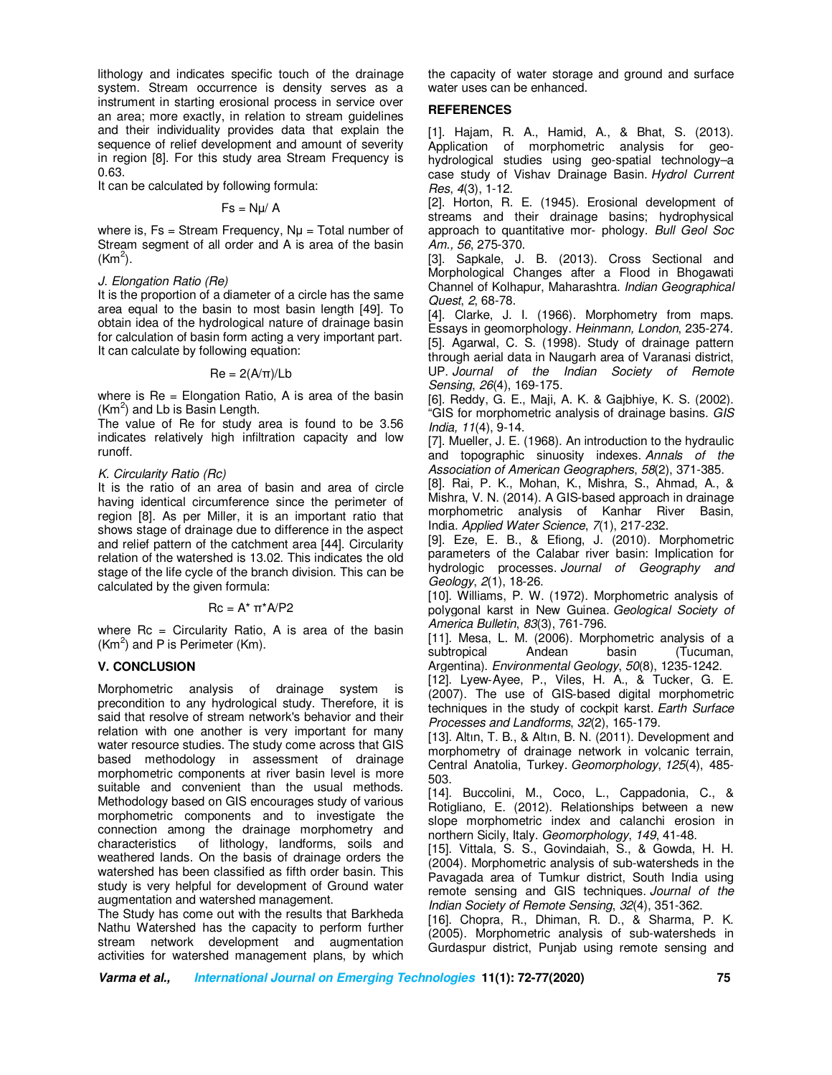lithology and indicates specific touch of the drainage system. Stream occurrence is density serves as a instrument in starting erosional process in service over an area; more exactly, in relation to stream guidelines and their individuality provides data that explain the sequence of relief development and amount of severity in region [8]. For this study area Stream Frequency is 0.63.

It can be calculated by following formula:

 $Fs = Nµ/A$ 

where is,  $Fs = Stream Frequency$ ,  $N\mu = Total number of$ Stream segment of all order and A is area of the basin  $(Km<sup>2</sup>)$ .

### *J. Elongation Ratio (Re)*

It is the proportion of a diameter of a circle has the same area equal to the basin to most basin length [49]. To obtain idea of the hydrological nature of drainage basin for calculation of basin form acting a very important part. It can calculate by following equation:

 $Re = 2(A/\pi)/Lb$ 

where is  $Re =$  Elongation Ratio, A is area of the basin  $(Km<sup>2</sup>)$  and Lb is Basin Length.

The value of Re for study area is found to be 3.56 indicates relatively high infiltration capacity and low runoff.

# *K. Circularity Ratio (Rc)*

It is the ratio of an area of basin and area of circle having identical circumference since the perimeter of region [8]. As per Miller, it is an important ratio that shows stage of drainage due to difference in the aspect and relief pattern of the catchment area [44]. Circularity relation of the watershed is 13.02. This indicates the old stage of the life cycle of the branch division. This can be calculated by the given formula:

# Rc = A\* π\*A/P2

where  $Rc =$  Circularity Ratio, A is area of the basin  $(Km<sup>2</sup>)$  and P is Perimeter (Km).

# **V. CONCLUSION**

Morphometric analysis of drainage system is precondition to any hydrological study. Therefore, it is said that resolve of stream network's behavior and their relation with one another is very important for many water resource studies. The study come across that GIS based methodology in assessment of drainage morphometric components at river basin level is more suitable and convenient than the usual methods. Methodology based on GIS encourages study of various morphometric components and to investigate the connection among the drainage morphometry and characteristics of lithology, landforms, soils and weathered lands. On the basis of drainage orders the watershed has been classified as fifth order basin. This study is very helpful for development of Ground water augmentation and watershed management.

The Study has come out with the results that Barkheda Nathu Watershed has the capacity to perform further stream network development and augmentation activities for watershed management plans, by which the capacity of water storage and ground and surface water uses can be enhanced.

# **REFERENCES**

[1]. Hajam, R. A., Hamid, A., & Bhat, S. (2013). Application of morphometric analysis for geohydrological studies using geo-spatial technology–a case study of Vishav Drainage Basin. *Hydrol Current Res*, *4*(3), 1-12.

[2]. Horton, R. E. (1945). Erosional development of streams and their drainage basins; hydrophysical approach to quantitative mor- phology*. Bull Geol Soc Am., 56*, 275-370.

[3]. Sapkale, J. B. (2013). Cross Sectional and Morphological Changes after a Flood in Bhogawati Channel of Kolhapur, Maharashtra. *Indian Geographical Quest*, *2*, 68-78.

[4]. Clarke, J. I. (1966). Morphometry from maps. Essays in geomorphology. *Heinmann, London*, 235-274. [5]. Agarwal, C. S. (1998). Study of drainage pattern through aerial data in Naugarh area of Varanasi district, UP. *Journal of the Indian Society of Remote Sensing*, *26*(4), 169-175.

[6]. Reddy, G. E., Maji, A. K. & Gajbhiye, K. S. (2002). "GIS for morphometric analysis of drainage basins. *GIS India, 11*(4), 9-14.

[7]. Mueller, J. E. (1968). An introduction to the hydraulic and topographic sinuosity indexes. *Annals of the Association of American Geographers*, *58*(2), 371-385.

[8]. Rai, P. K., Mohan, K., Mishra, S., Ahmad, A., & Mishra, V. N. (2014). A GIS-based approach in drainage morphometric analysis of Kanhar River Basin, India. *Applied Water Science*, *7*(1), 217-232.

[9]. Eze, E. B., & Efiong, J. (2010). Morphometric parameters of the Calabar river basin: Implication for hydrologic processes. *Journal of Geography and Geology*, *2*(1), 18-26.

[10]. Williams, P. W. (1972). Morphometric analysis of polygonal karst in New Guinea. *Geological Society of America Bulletin*, *83*(3), 761-796.

[11]. Mesa, L. M. (2006). Morphometric analysis of a subtropical Andean basin (Tucuman, Argentina). *Environmental Geology*, *50*(8), 1235-1242.

[12]. Lyew‐Ayee, P., Viles, H. A., & Tucker, G. E. (2007). The use of GIS‐based digital morphometric techniques in the study of cockpit karst. *Earth Surface Processes and Landforms*, *32*(2), 165-179.

[13]. Altın, T. B., & Altın, B. N. (2011). Development and morphometry of drainage network in volcanic terrain, Central Anatolia, Turkey. *Geomorphology*, *125*(4), 485- 503.

[14]. Buccolini, M., Coco, L., Cappadonia, C., & Rotigliano, E. (2012). Relationships between a new slope morphometric index and calanchi erosion in northern Sicily, Italy. *Geomorphology*, *149*, 41-48.

[15]. Vittala, S. S., Govindaiah, S., & Gowda, H. H. (2004). Morphometric analysis of sub-watersheds in the Pavagada area of Tumkur district, South India using remote sensing and GIS techniques. *Journal of the Indian Society of Remote Sensing*, *32*(4), 351-362.

[16]. Chopra, R., Dhiman, R. D., & Sharma, P. K. (2005). Morphometric analysis of sub-watersheds in Gurdaspur district, Punjab using remote sensing and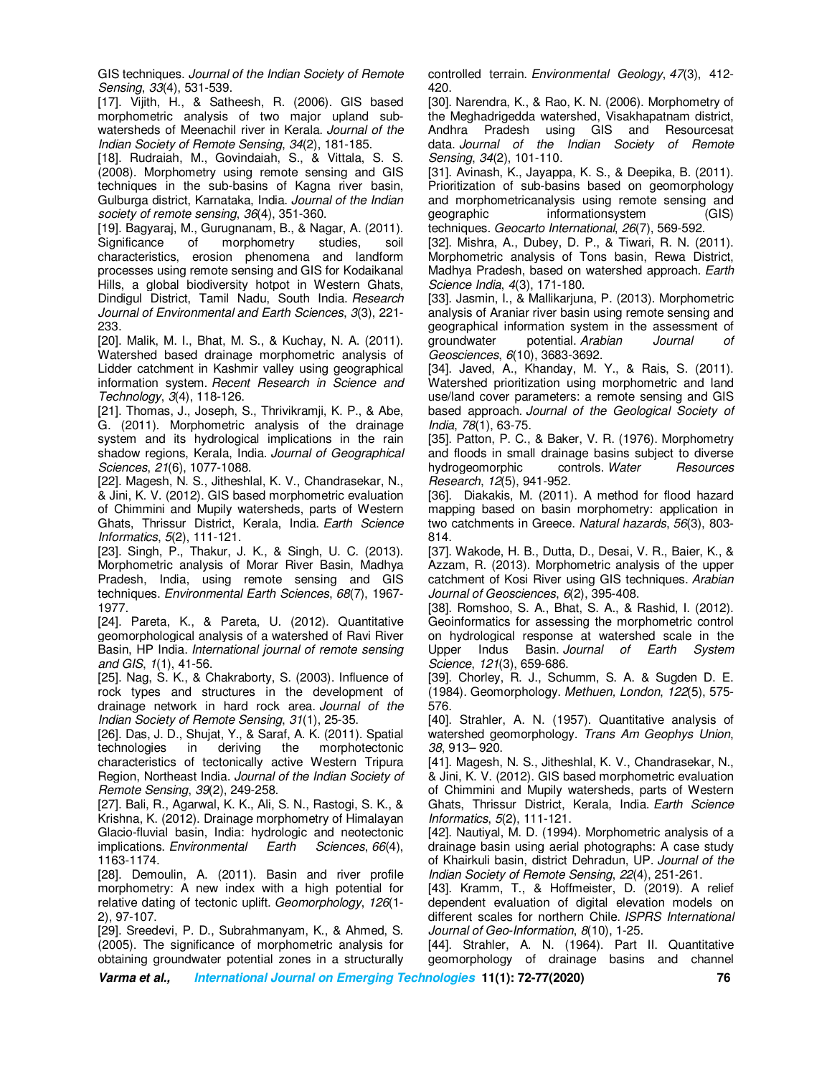GIS techniques. *Journal of the Indian Society of Remote Sensing*, *33*(4), 531-539.

[17]. Vijith, H., & Satheesh, R. (2006). GIS based morphometric analysis of two major upland subwatersheds of Meenachil river in Kerala. *Journal of the Indian Society of Remote Sensing*, *34*(2), 181-185.

[18]. Rudraiah, M., Govindaiah, S., & Vittala, S. S. (2008). Morphometry using remote sensing and GIS techniques in the sub-basins of Kagna river basin, Gulburga district, Karnataka, India. *Journal of the Indian society of remote sensing*, *36*(4), 351-360.

[19]. Bagyaraj, M., Gurugnanam, B., & Nagar, A. (2011). Significance of morphometry studies, soil characteristics, erosion phenomena and landform processes using remote sensing and GIS for Kodaikanal Hills, a global biodiversity hotpot in Western Ghats, Dindigul District, Tamil Nadu, South India. *Research Journal of Environmental and Earth Sciences*, *3*(3), 221- 233.

[20]. Malik, M. I., Bhat, M. S., & Kuchay, N. A. (2011). Watershed based drainage morphometric analysis of Lidder catchment in Kashmir valley using geographical information system. *Recent Research in Science and Technology*, *3*(4), 118-126.

[21]. Thomas, J., Joseph, S., Thrivikramji, K. P., & Abe, G. (2011). Morphometric analysis of the drainage system and its hydrological implications in the rain shadow regions, Kerala, India. *Journal of Geographical Sciences*, *21*(6), 1077-1088.

[22]. Magesh, N. S., Jitheshlal, K. V., Chandrasekar, N., & Jini, K. V. (2012). GIS based morphometric evaluation of Chimmini and Mupily watersheds, parts of Western Ghats, Thrissur District, Kerala, India. *Earth Science Informatics*, *5*(2), 111-121.

[23]. Singh, P., Thakur, J. K., & Singh, U. C. (2013). Morphometric analysis of Morar River Basin, Madhya Pradesh, India, using remote sensing and GIS techniques. *Environmental Earth Sciences*, *68*(7), 1967- 1977.

[24]. Pareta, K., & Pareta, U. (2012). Quantitative geomorphological analysis of a watershed of Ravi River Basin, HP India. *International journal of remote sensing and GIS*, *1*(1), 41-56.

[25]. Nag, S. K., & Chakraborty, S. (2003). Influence of rock types and structures in the development of drainage network in hard rock area. *Journal of the Indian Society of Remote Sensing*, *31*(1), 25-35.

[26]. Das, J. D., Shujat, Y., & Saraf, A. K. (2011). Spatial technologies in deriving the morphotectonic characteristics of tectonically active Western Tripura Region, Northeast India. *Journal of the Indian Society of Remote Sensing*, *39*(2), 249-258.

[27]. Bali, R., Agarwal, K. K., Ali, S. N., Rastogi, S. K., & Krishna, K. (2012). Drainage morphometry of Himalayan Glacio-fluvial basin, India: hydrologic and neotectonic implications. *Environmental Earth Sciences*, *66*(4), 1163-1174.

[28]. Demoulin, A. (2011). Basin and river profile morphometry: A new index with a high potential for relative dating of tectonic uplift. *Geomorphology*, *126*(1- 2), 97-107.

[29]. Sreedevi, P. D., Subrahmanyam, K., & Ahmed, S. (2005). The significance of morphometric analysis for obtaining groundwater potential zones in a structurally controlled terrain. *Environmental Geology*, *47*(3), 412- 420.

[30]. Narendra, K., & Rao, K. N. (2006). Morphometry of the Meghadrigedda watershed, Visakhapatnam district, Andhra Pradesh using GIS and Resourcesat data. *Journal of the Indian Society of Remote Sensing*, *34*(2), 101-110.

[31]. Avinash, K., Jayappa, K. S., & Deepika, B. (2011). Prioritization of sub-basins based on geomorphology and morphometricanalysis using remote sensing and geographic informationsystem (GIS) techniques. *Geocarto International*, *26*(7), 569-592.

[32]. Mishra, A., Dubey, D. P., & Tiwari, R. N. (2011). Morphometric analysis of Tons basin, Rewa District, Madhya Pradesh, based on watershed approach. *Earth Science India*, *4*(3), 171-180.

[33]. Jasmin, I., & Mallikarjuna, P. (2013). Morphometric analysis of Araniar river basin using remote sensing and geographical information system in the assessment of groundwater potential. *Arabian Journal of Geosciences*, *6*(10), 3683-3692.

[34]. Javed, A., Khanday, M. Y., & Rais, S. (2011). Watershed prioritization using morphometric and land use/land cover parameters: a remote sensing and GIS based approach. *Journal of the Geological Society of India*, *78*(1), 63-75.

[35]. Patton, P. C., & Baker, V. R. (1976). Morphometry and floods in small drainage basins subject to diverse<br>hydrogeomorphic controls. Water Resources hydrogeomorphic *Research*, *12*(5), 941-952.

[36]. Diakakis, M. (2011). A method for flood hazard mapping based on basin morphometry: application in two catchments in Greece. *Natural hazards*, *56*(3), 803- 814.

[37]. Wakode, H. B., Dutta, D., Desai, V. R., Baier, K., & Azzam, R. (2013). Morphometric analysis of the upper catchment of Kosi River using GIS techniques. *Arabian Journal of Geosciences*, *6*(2), 395-408.

[38]. Romshoo, S. A., Bhat, S. A., & Rashid, I. (2012). Geoinformatics for assessing the morphometric control on hydrological response at watershed scale in the Upper Indus Basin. *Journal of Earth System Science*, *121*(3), 659-686.

[39]. Chorley, R. J., Schumm, S. A. & Sugden D. E. (1984). Geomorphology. *Methuen, London*, *122*(5), 575- 576.

[40]. Strahler, A. N. (1957). Quantitative analysis of watershed geomorphology. *Trans Am Geophys Union*, *38*, 913– 920.

[41]. Magesh, N. S., Jitheshlal, K. V., Chandrasekar, N., & Jini, K. V. (2012). GIS based morphometric evaluation of Chimmini and Mupily watersheds, parts of Western Ghats, Thrissur District, Kerala, India. *Earth Science Informatics*, *5*(2), 111-121.

[42]. Nautiyal, M. D. (1994). Morphometric analysis of a drainage basin using aerial photographs: A case study of Khairkuli basin, district Dehradun, UP. *Journal of the Indian Society of Remote Sensing*, *22*(4), 251-261.

[43]. Kramm, T., & Hoffmeister, D. (2019). A relief dependent evaluation of digital elevation models on different scales for northern Chile. *ISPRS International Journal of Geo-Information*, *8*(10), 1-25.

[44]. Strahler, A. N. (1964). Part II. Quantitative geomorphology of drainage basins and channel